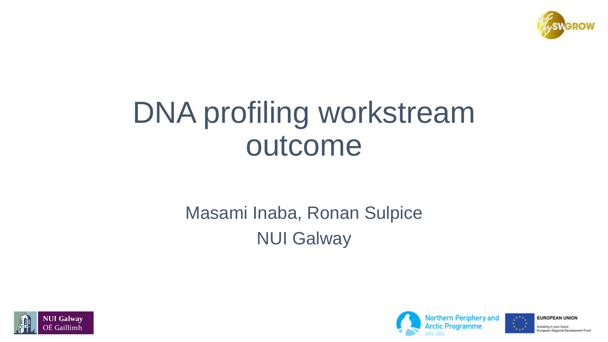

# DNA profiling workstream outcome

#### Masami Inaba, Ronan Sulpice NUI Galway







Investing in your future uropean Regional Development Fund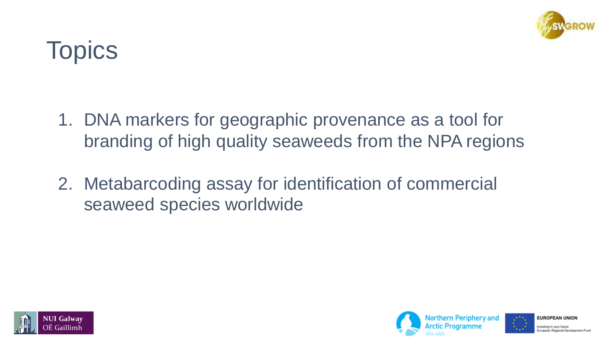

## **Topics**

- 1. DNA markers for geographic provenance as a tool for branding of high quality seaweeds from the NPA regions
- 2. Metabarcoding assay for identification of commercial seaweed species worldwide





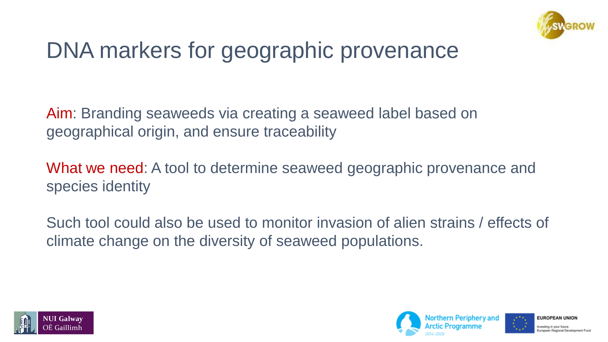

### DNA markers for geographic provenance

Aim: Branding seaweeds via creating a seaweed label based on geographical origin, and ensure traceability

What we need: A tool to determine seaweed geographic provenance and species identity

Such tool could also be used to monitor invasion of alien strains / effects of climate change on the diversity of seaweed populations.





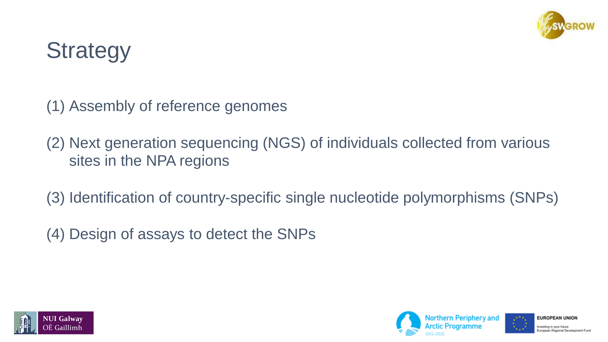

### **Strategy**

(1) Assembly of reference genomes

(2) Next generation sequencing (NGS) of individuals collected from various sites in the NPA regions

(3) Identification of country-specific single nucleotide polymorphisms (SNPs)

(4) Design of assays to detect the SNPs





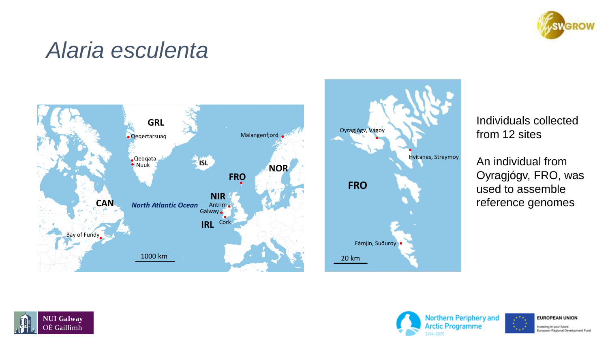

#### *Alaria esculenta*





Individuals collected from 12 sites

An individual from Oyragjógv, FRO, was used to assemble reference genomes





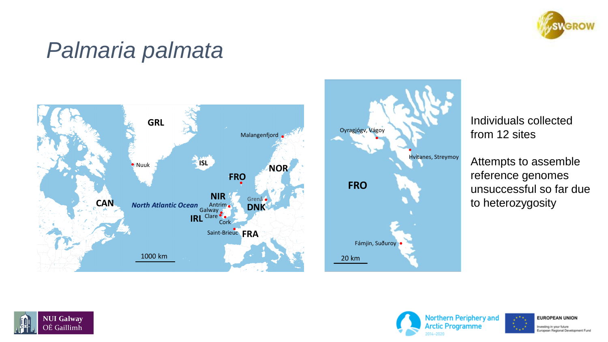

#### *Palmaria palmata*





Individuals collected from 12 sites

Attempts to assemble reference genomes unsuccessful so far due to heterozygosity





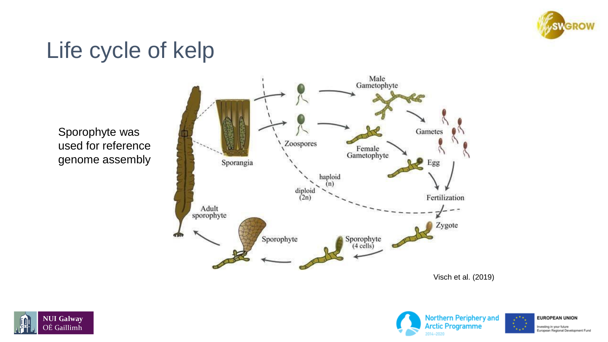

#### Life cycle of kelp

Sporophyte was used for reference genome assembly







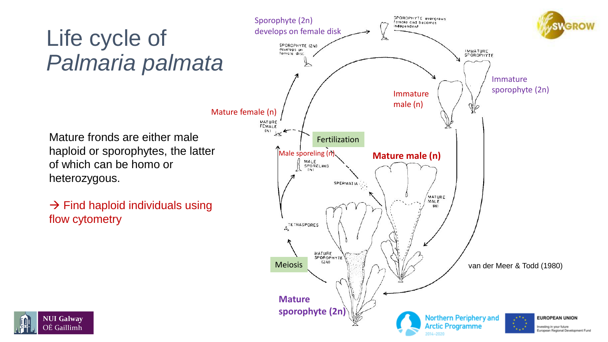#### Life cycle of *Palmaria palmata*

Mature fronds are either male haploid or sporophytes, the latter of which can be homo or heterozygous.

 $\rightarrow$  Find haploid individuals using flow cytometry



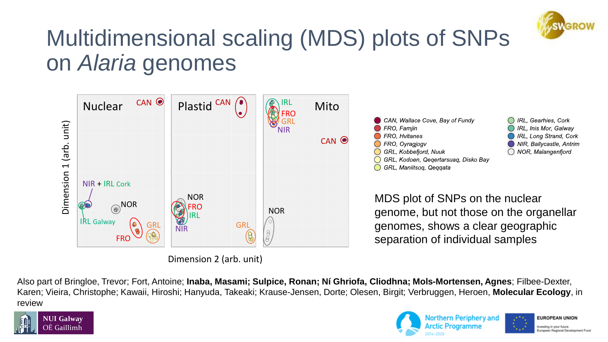

### Multidimensional scaling (MDS) plots of SNPs on *Alaria* genomes



Also part of Bringloe, Trevor; Fort, Antoine; **Inaba, Masami; Sulpice, Ronan; Ní Ghriofa, Cliodhna; Mols-Mortensen, Agnes**; Filbee-Dexter, Karen; Vieira, Christophe; Kawaii, Hiroshi; Hanyuda, Takeaki; Krause-Jensen, Dorte; Olesen, Birgit; Verbruggen, Heroen, **Molecular Ecology**, in review





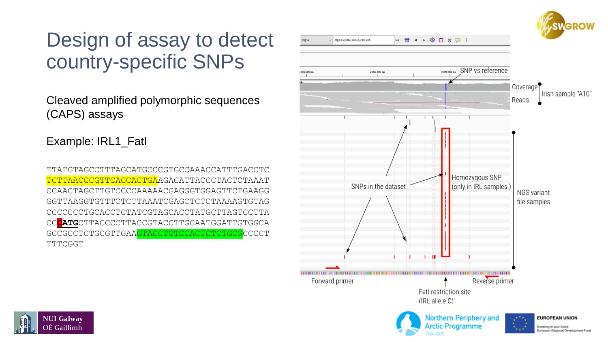#### Design of assay to detect country-specific SNPs

Cleaved amplified polymorphic sequences (CAPS) assays

Example: IRL1\_FatI

TTATGTAGCCTTTAGCATGCCCGTGCCAAACCATTTGACCTC TCTTAACCCGTTCACCACTGAAGACATTACCCTACTCTAAAT CCAACTAGCTTGTCCCCAAAAACGAGGGTGGAGTTCTGAAGG GGTTAAGGTGTTTCTCTTAAATCGAGCTCTCTAAAAGTGTAG CCCCCCCTGCACCTCTATCGTAGCACCTATGCTTAGTCCTTA CC**CATG**CTTACCCCTTACCGTACCTTGCAATGGATTGTGGCA GCCGCCTCTGCGTTGAAGTACCTGTCCACTCTCTGCGCCCCT TTTCGGT



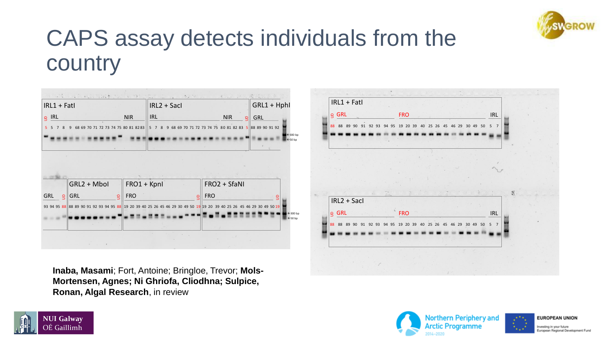

### CAPS assay detects individuals from the country



**Inaba, Masami**; Fort, Antoine; Bringloe, Trevor; **Mols-Mortensen, Agnes; Ni Ghriofa, Cliodhna; Sulpice, Ronan, Algal Research**, in review







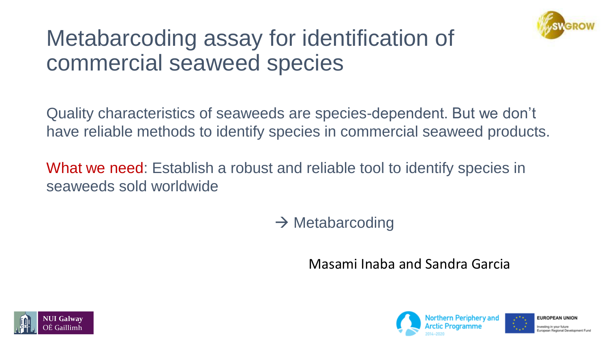

#### Metabarcoding assay for identification of commercial seaweed species

Quality characteristics of seaweeds are species-dependent. But we don't have reliable methods to identify species in commercial seaweed products.

What we need: Establish a robust and reliable tool to identify species in seaweeds sold worldwide

 $\rightarrow$  Metabarcoding

Masami Inaba and Sandra Garcia





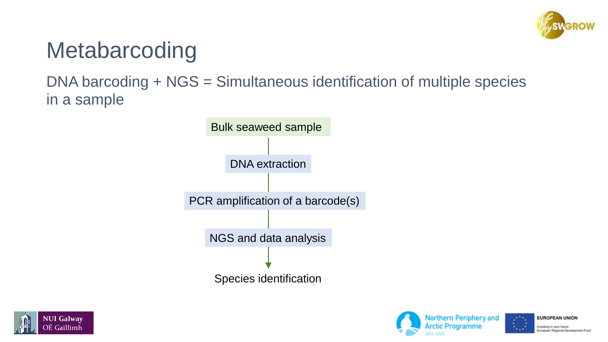

#### Metabarcoding

#### DNA barcoding + NGS = Simultaneous identification of multiple species in a sample







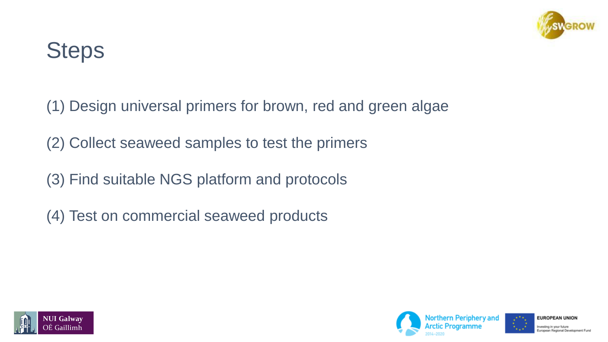

### **Steps**

(1) Design universal primers for brown, red and green algae

(2) Collect seaweed samples to test the primers

(3) Find suitable NGS platform and protocols

(4) Test on commercial seaweed products





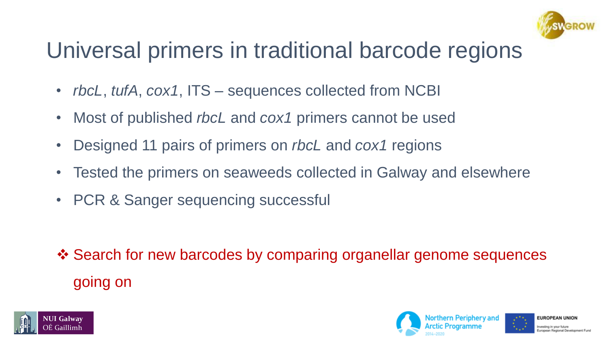

### Universal primers in traditional barcode regions

- *rbcL*, *tufA*, *cox1*, ITS sequences collected from NCBI
- Most of published *rbcL* and *cox1* primers cannot be used
- Designed 11 pairs of primers on *rbcL* and *cox1* regions
- Tested the primers on seaweeds collected in Galway and elsewhere
- PCR & Sanger sequencing successful

❖ Search for new barcodes by comparing organellar genome sequences going on



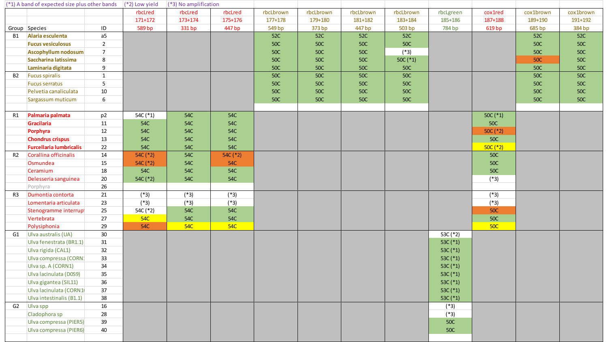| (*1) A band of expected size plus other bands |                                                |                  | $\left  \right $ (*2) Low yield | (*3) No amplification |            |             |            |            |            |            |            |            |            |
|-----------------------------------------------|------------------------------------------------|------------------|---------------------------------|-----------------------|------------|-------------|------------|------------|------------|------------|------------|------------|------------|
|                                               |                                                |                  | rbcLred                         | rbcLred               | rbcLred    | rbcLbrown   | rbcLbrown  | rbcLbrown  | rbcLbrown  | rbcLgreen  | cox1red    | cox1brown  | cox1brown  |
|                                               |                                                |                  | $171 + 172$                     | 173+174               | 175+176    | $177 + 178$ | 179+180    | 181+182    | 183+184    | 185+186    | 187+188    | 189+190    | 191+192    |
|                                               | Group Species                                  | ID               | 589 bp                          | 331 bp                | 447 bp     | 549 bp      | 373 bp     | 447 bp     | 503 bp     | 784 bp     | 619 bp     | 685 bp     | 384 bp     |
| <b>B1</b>                                     | Alaria esculenta                               | a <sub>5</sub>   |                                 |                       |            | <b>52C</b>  | <b>52C</b> | <b>52C</b> | 52C        |            |            | 52C        | <b>52C</b> |
|                                               | <b>Fucus vesiculosus</b>                       | $\overline{2}$   |                                 |                       |            | <b>50C</b>  | <b>50C</b> | <b>50C</b> | <b>50C</b> |            |            | <b>50C</b> | <b>50C</b> |
|                                               | <b>Ascophyllum nodosum</b>                     | $\overline{7}$   |                                 |                       |            | <b>50C</b>  | <b>50C</b> | <b>50C</b> | $(*3)$     |            |            | <b>50C</b> | <b>50C</b> |
|                                               | Saccharina latissima                           | 8                |                                 |                       |            | <b>50C</b>  | <b>50C</b> | <b>50C</b> | $50C (*1)$ |            |            | <b>50C</b> | <b>50C</b> |
|                                               | Laminaria digitata                             | $\boldsymbol{9}$ |                                 |                       |            | <b>50C</b>  | <b>50C</b> | <b>50C</b> | <b>50C</b> |            |            | <b>50C</b> | <b>50C</b> |
| <b>B2</b>                                     | <b>Fucus spiralis</b>                          | $\mathbf{1}$     |                                 |                       |            | <b>50C</b>  | <b>50C</b> | <b>50C</b> | <b>50C</b> |            |            | <b>50C</b> | <b>50C</b> |
|                                               | <b>Fucus serratus</b><br>Pelvetia canaliculata | 5                |                                 |                       |            | <b>50C</b>  | <b>50C</b> | <b>50C</b> | <b>50C</b> |            |            | <b>50C</b> | <b>50C</b> |
|                                               |                                                | 10               |                                 |                       |            | <b>50C</b>  | <b>50C</b> | <b>50C</b> | <b>50C</b> |            |            | <b>50C</b> | <b>50C</b> |
|                                               | Sargassum muticum                              | 6                |                                 |                       |            | <b>50C</b>  | <b>50C</b> | <b>50C</b> | <b>50C</b> |            |            | <b>50C</b> | <b>50C</b> |
| <b>R1</b>                                     | Palmaria palmata                               | p <sub>2</sub>   | 54C (*1)                        | <b>54C</b>            | <b>54C</b> |             |            |            |            |            | $50C (*1)$ |            |            |
|                                               | Gracilaria                                     | 11               | 54C                             | <b>54C</b>            | <b>54C</b> |             |            |            |            |            | <b>50C</b> |            |            |
|                                               | Porphyra                                       | 12               | 54C                             | 54C                   | <b>54C</b> |             |            |            |            |            | $50C (*2)$ |            |            |
|                                               | <b>Chondrus crispus</b>                        | 13               | 54C                             | 54C                   | <b>54C</b> |             |            |            |            |            | <b>50C</b> |            |            |
|                                               | <b>Furcellaria lumbricalis</b>                 | 22               | <b>54C</b>                      | <b>54C</b>            | <b>54C</b> |             |            |            |            |            | $50C (*2)$ |            |            |
| R <sub>2</sub>                                | Corallina officinalis                          | 14               | 54C (*2)                        | <b>54C</b>            | 54C (*2)   |             |            |            |            |            | <b>50C</b> |            |            |
|                                               | Osmundea                                       | 15               | 54C (*2)                        | <b>54C</b>            | <b>54C</b> |             |            |            |            |            | <b>50C</b> |            |            |
|                                               | Ceramium                                       | 18               | 54C                             | 54C                   | <b>54C</b> |             |            |            |            |            | <b>50C</b> |            |            |
|                                               | Delesseria sanguinea                           | 20               | 54C (*2)                        | <b>54C</b>            | <b>54C</b> |             |            |            |            |            | $(*3)$     |            |            |
|                                               | Porphyra                                       | 26               |                                 |                       |            |             |            |            |            |            |            |            |            |
| R3                                            | Dumontia contorta                              | 21               | $(*3)$                          | $(*3)$                | $(*3)$     |             |            |            |            |            | $(*3)$     |            |            |
|                                               | Lomentaria articulata                          | 23               | $(*3)$                          | $(*3)$                | $(*3)$     |             |            |            |            |            | $(*3)$     |            |            |
|                                               | Stenogramme interrup                           | 25               | 54C (*2)                        | <b>54C</b>            | <b>54C</b> |             |            |            |            |            | <b>50C</b> |            |            |
|                                               | Vertebrata                                     | 27               | <b>54C</b>                      | <b>54C</b>            | <b>54C</b> |             |            |            |            |            | <b>50C</b> |            |            |
|                                               | Polysiphonia                                   | 29               | <b>54C</b>                      | <b>54C</b>            | <b>54C</b> |             |            |            |            |            | <b>50C</b> |            |            |
| G1                                            | Ulva australis (UA)                            | 30               |                                 |                       |            |             |            |            |            | 53C (*2)   |            |            |            |
|                                               | Ulva fenestrata (BR1.1)                        | 31               |                                 |                       |            |             |            |            |            | 53C (*1)   |            |            |            |
|                                               | Ulva rigida (CAL1)                             | 32               |                                 |                       |            |             |            |            |            | 53C (*1)   |            |            |            |
|                                               | Ulva compressa (CORN:                          | 33               |                                 |                       |            |             |            |            |            | 53C (*1)   |            |            |            |
|                                               | Ulva sp. A (CORN1)                             | 34               |                                 |                       |            |             |            |            |            | 53C (*1)   |            |            |            |
|                                               | Ulva lacinulata (D0S9)                         | 35               |                                 |                       |            |             |            |            |            | 53C $(*1)$ |            |            |            |
|                                               | Ulva gigantea (SIL11)                          | 36               |                                 |                       |            |             |            |            |            | 53C (*1)   |            |            |            |
|                                               | Ulva lacinulata (CORN1                         | 37               |                                 |                       |            |             |            |            |            | 53C $(*1)$ |            |            |            |
|                                               | Ulva intestinalis (B1.1)                       | 38               |                                 |                       |            |             |            |            |            | 53C (*1)   |            |            |            |
| G2                                            | Ulva spp                                       | 16               |                                 |                       |            |             |            |            |            | $(*3)$     |            |            |            |
|                                               | Cladophora sp                                  | 28               |                                 |                       |            |             |            |            |            | $(*3)$     |            |            |            |
|                                               | Ulva compressa (PIER5)                         | 39               |                                 |                       |            |             |            |            |            | <b>50C</b> |            |            |            |
|                                               | Ulva compressa (PIER6)                         | 40               |                                 |                       |            |             |            |            |            | <b>50C</b> |            |            |            |
|                                               |                                                |                  |                                 |                       |            |             |            |            |            |            |            |            |            |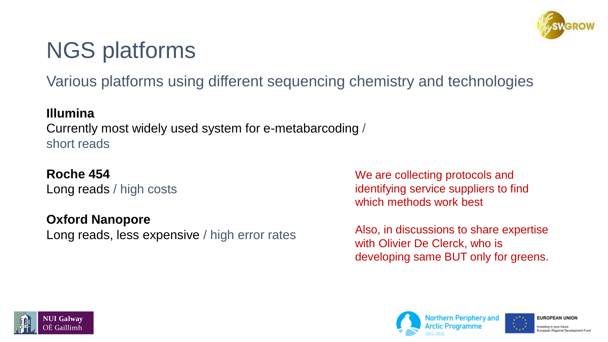### NGS platforms

Various platforms using different sequencing chemistry and technologies

#### **Illumina**

Currently most widely used system for e-metabarcoding / short reads

#### **Roche 454**

Long reads / high costs

#### **Oxford Nanopore**

Long reads, less expensive / high error rates

We are collecting protocols and identifying service suppliers to find which methods work best

Also, in discussions to share expertise with Olivier De Clerck, who is developing same BUT only for greens.